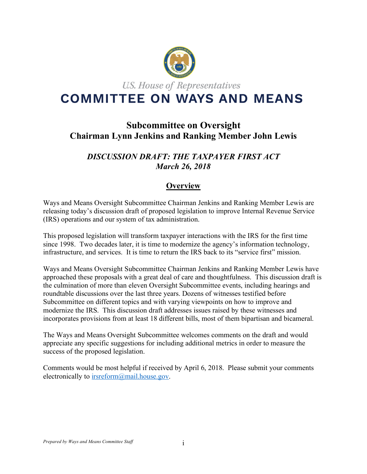

# **Subcommittee on Oversight Chairman Lynn Jenkins and Ranking Member John Lewis**

## *DISCUSSION DRAFT: THE TAXPAYER FIRST ACT March 26, 2018*

## **Overview**

Ways and Means Oversight Subcommittee Chairman Jenkins and Ranking Member Lewis are releasing today's discussion draft of proposed legislation to improve Internal Revenue Service (IRS) operations and our system of tax administration.

This proposed legislation will transform taxpayer interactions with the IRS for the first time since 1998. Two decades later, it is time to modernize the agency's information technology, infrastructure, and services. It is time to return the IRS back to its "service first" mission.

Ways and Means Oversight Subcommittee Chairman Jenkins and Ranking Member Lewis have approached these proposals with a great deal of care and thoughtfulness. This discussion draft is the culmination of more than eleven Oversight Subcommittee events, including hearings and roundtable discussions over the last three years. Dozens of witnesses testified before Subcommittee on different topics and with varying viewpoints on how to improve and modernize the IRS. This discussion draft addresses issues raised by these witnesses and incorporates provisions from at least 18 different bills, most of them bipartisan and bicameral.

The Ways and Means Oversight Subcommittee welcomes comments on the draft and would appreciate any specific suggestions for including additional metrics in order to measure the success of the proposed legislation.

Comments would be most helpful if received by April 6, 2018. Please submit your comments electronically to irsreform@mail.house.gov.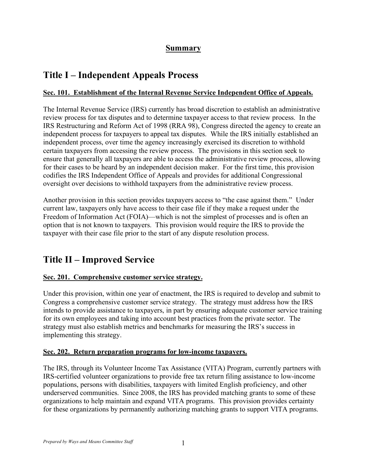## **Summary**

# **Title I – Independent Appeals Process**

## **Sec. 101. Establishment of the Internal Revenue Service Independent Office of Appeals.**

The Internal Revenue Service (IRS) currently has broad discretion to establish an administrative review process for tax disputes and to determine taxpayer access to that review process. In the IRS Restructuring and Reform Act of 1998 (RRA 98), Congress directed the agency to create an independent process for taxpayers to appeal tax disputes. While the IRS initially established an independent process, over time the agency increasingly exercised its discretion to withhold certain taxpayers from accessing the review process. The provisions in this section seek to ensure that generally all taxpayers are able to access the administrative review process, allowing for their cases to be heard by an independent decision maker. For the first time, this provision codifies the IRS Independent Office of Appeals and provides for additional Congressional oversight over decisions to withhold taxpayers from the administrative review process.

Another provision in this section provides taxpayers access to "the case against them." Under current law, taxpayers only have access to their case file if they make a request under the Freedom of Information Act (FOIA)—which is not the simplest of processes and is often an option that is not known to taxpayers. This provision would require the IRS to provide the taxpayer with their case file prior to the start of any dispute resolution process.

# **Title II – Improved Service**

## **Sec. 201. Comprehensive customer service strategy.**

Under this provision, within one year of enactment, the IRS is required to develop and submit to Congress a comprehensive customer service strategy. The strategy must address how the IRS intends to provide assistance to taxpayers, in part by ensuring adequate customer service training for its own employees and taking into account best practices from the private sector. The strategy must also establish metrics and benchmarks for measuring the IRS's success in implementing this strategy.

## **Sec. 202. Return preparation programs for low-income taxpayers.**

The IRS, through its Volunteer Income Tax Assistance (VITA) Program, currently partners with IRS-certified volunteer organizations to provide free tax return filing assistance to low-income populations, persons with disabilities, taxpayers with limited English proficiency, and other underserved communities. Since 2008, the IRS has provided matching grants to some of these organizations to help maintain and expand VITA programs. This provision provides certainty for these organizations by permanently authorizing matching grants to support VITA programs.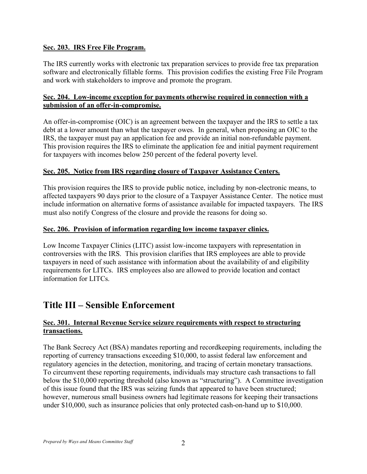## **Sec. 203. IRS Free File Program.**

The IRS currently works with electronic tax preparation services to provide free tax preparation software and electronically fillable forms. This provision codifies the existing Free File Program and work with stakeholders to improve and promote the program.

## **Sec. 204. Low-income exception for payments otherwise required in connection with a submission of an offer-in-compromise.**

An offer-in-compromise (OIC) is an agreement between the taxpayer and the IRS to settle a tax debt at a lower amount than what the taxpayer owes. In general, when proposing an OIC to the IRS, the taxpayer must pay an application fee and provide an initial non-refundable payment. This provision requires the IRS to eliminate the application fee and initial payment requirement for taxpayers with incomes below 250 percent of the federal poverty level.

#### **Sec. 205. Notice from IRS regarding closure of Taxpayer Assistance Centers.**

This provision requires the IRS to provide public notice, including by non-electronic means, to affected taxpayers 90 days prior to the closure of a Taxpayer Assistance Center. The notice must include information on alternative forms of assistance available for impacted taxpayers. The IRS must also notify Congress of the closure and provide the reasons for doing so.

#### **Sec. 206. Provision of information regarding low income taxpayer clinics.**

Low Income Taxpayer Clinics (LITC) assist low-income taxpayers with representation in controversies with the IRS. This provision clarifies that IRS employees are able to provide taxpayers in need of such assistance with information about the availability of and eligibility requirements for LITCs. IRS employees also are allowed to provide location and contact information for LITCs.

# **Title III – Sensible Enforcement**

## **Sec. 301. Internal Revenue Service seizure requirements with respect to structuring transactions.**

The Bank Secrecy Act (BSA) mandates reporting and recordkeeping requirements, including the reporting of currency transactions exceeding \$10,000, to assist federal law enforcement and regulatory agencies in the detection, monitoring, and tracing of certain monetary transactions. To circumvent these reporting requirements, individuals may structure cash transactions to fall below the \$10,000 reporting threshold (also known as "structuring"). A Committee investigation of this issue found that the IRS was seizing funds that appeared to have been structured; however, numerous small business owners had legitimate reasons for keeping their transactions under \$10,000, such as insurance policies that only protected cash-on-hand up to \$10,000.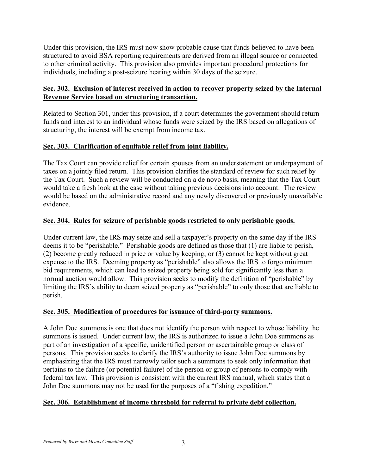Under this provision, the IRS must now show probable cause that funds believed to have been structured to avoid BSA reporting requirements are derived from an illegal source or connected to other criminal activity. This provision also provides important procedural protections for individuals, including a post-seizure hearing within 30 days of the seizure.

## **Sec. 302. Exclusion of interest received in action to recover property seized by the Internal Revenue Service based on structuring transaction.**

Related to Section 301, under this provision, if a court determines the government should return funds and interest to an individual whose funds were seized by the IRS based on allegations of structuring, the interest will be exempt from income tax.

## **Sec. 303. Clarification of equitable relief from joint liability.**

The Tax Court can provide relief for certain spouses from an understatement or underpayment of taxes on a jointly filed return. This provision clarifies the standard of review for such relief by the Tax Court. Such a review will be conducted on a de novo basis, meaning that the Tax Court would take a fresh look at the case without taking previous decisions into account. The review would be based on the administrative record and any newly discovered or previously unavailable evidence.

## **Sec. 304. Rules for seizure of perishable goods restricted to only perishable goods.**

Under current law, the IRS may seize and sell a taxpayer's property on the same day if the IRS deems it to be "perishable." Perishable goods are defined as those that (1) are liable to perish, (2) become greatly reduced in price or value by keeping, or (3) cannot be kept without great expense to the IRS. Deeming property as "perishable" also allows the IRS to forgo minimum bid requirements, which can lead to seized property being sold for significantly less than a normal auction would allow. This provision seeks to modify the definition of "perishable" by limiting the IRS's ability to deem seized property as "perishable" to only those that are liable to perish.

## **Sec. 305. Modification of procedures for issuance of third-party summons.**

A John Doe summons is one that does not identify the person with respect to whose liability the summons is issued. Under current law, the IRS is authorized to issue a John Doe summons as part of an investigation of a specific, unidentified person or ascertainable group or class of persons. This provision seeks to clarify the IRS's authority to issue John Doe summons by emphasizing that the IRS must narrowly tailor such a summons to seek only information that pertains to the failure (or potential failure) of the person or group of persons to comply with federal tax law. This provision is consistent with the current IRS manual, which states that a John Doe summons may not be used for the purposes of a "fishing expedition."

## **Sec. 306. Establishment of income threshold for referral to private debt collection.**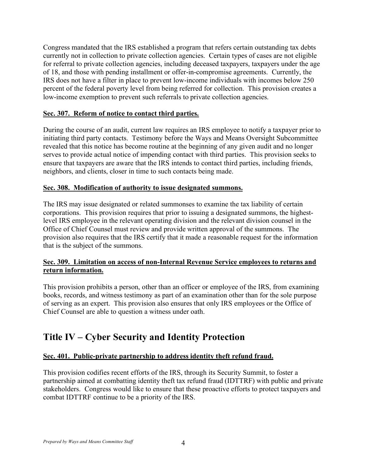Congress mandated that the IRS established a program that refers certain outstanding tax debts currently not in collection to private collection agencies. Certain types of cases are not eligible for referral to private collection agencies, including deceased taxpayers, taxpayers under the age of 18, and those with pending installment or offer-in-compromise agreements. Currently, the IRS does not have a filter in place to prevent low-income individuals with incomes below 250 percent of the federal poverty level from being referred for collection. This provision creates a low-income exemption to prevent such referrals to private collection agencies.

## **Sec. 307. Reform of notice to contact third parties.**

During the course of an audit, current law requires an IRS employee to notify a taxpayer prior to initiating third party contacts. Testimony before the Ways and Means Oversight Subcommittee revealed that this notice has become routine at the beginning of any given audit and no longer serves to provide actual notice of impending contact with third parties. This provision seeks to ensure that taxpayers are aware that the IRS intends to contact third parties, including friends, neighbors, and clients, closer in time to such contacts being made.

## **Sec. 308. Modification of authority to issue designated summons.**

The IRS may issue designated or related summonses to examine the tax liability of certain corporations. This provision requires that prior to issuing a designated summons, the highestlevel IRS employee in the relevant operating division and the relevant division counsel in the Office of Chief Counsel must review and provide written approval of the summons. The provision also requires that the IRS certify that it made a reasonable request for the information that is the subject of the summons.

## **Sec. 309. Limitation on access of non-Internal Revenue Service employees to returns and return information.**

This provision prohibits a person, other than an officer or employee of the IRS, from examining books, records, and witness testimony as part of an examination other than for the sole purpose of serving as an expert. This provision also ensures that only IRS employees or the Office of Chief Counsel are able to question a witness under oath.

# **Title IV – Cyber Security and Identity Protection**

## **Sec. 401. Public-private partnership to address identity theft refund fraud.**

This provision codifies recent efforts of the IRS, through its Security Summit, to foster a partnership aimed at combatting identity theft tax refund fraud (IDTTRF) with public and private stakeholders. Congress would like to ensure that these proactive efforts to protect taxpayers and combat IDTTRF continue to be a priority of the IRS.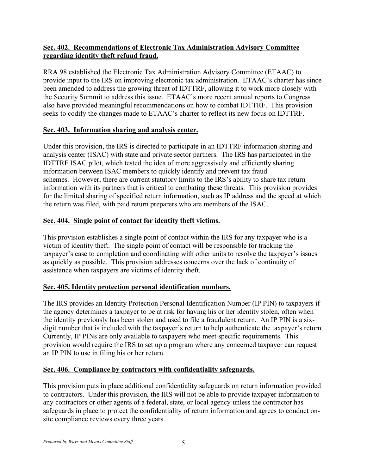## **Sec. 402. Recommendations of Electronic Tax Administration Advisory Committee regarding identity theft refund fraud.**

RRA 98 established the Electronic Tax Administration Advisory Committee (ETAAC) to provide input to the IRS on improving electronic tax administration. ETAAC's charter has since been amended to address the growing threat of IDTTRF, allowing it to work more closely with the Security Summit to address this issue. ETAAC's more recent annual reports to Congress also have provided meaningful recommendations on how to combat IDTTRF. This provision seeks to codify the changes made to ETAAC's charter to reflect its new focus on IDTTRF.

## **Sec. 403. Information sharing and analysis center.**

Under this provision, the IRS is directed to participate in an IDTTRF information sharing and analysis center (ISAC) with state and private sector partners. The IRS has participated in the IDTTRF ISAC pilot, which tested the idea of more aggressively and efficiently sharing information between ISAC members to quickly identify and prevent tax fraud schemes. However, there are current statutory limits to the IRS's ability to share tax return information with its partners that is critical to combating these threats. This provision provides for the limited sharing of specified return information, such as IP address and the speed at which the return was filed, with paid return preparers who are members of the ISAC.

## **Sec. 404. Single point of contact for identity theft victims.**

This provision establishes a single point of contact within the IRS for any taxpayer who is a victim of identity theft. The single point of contact will be responsible for tracking the taxpayer's case to completion and coordinating with other units to resolve the taxpayer's issues as quickly as possible. This provision addresses concerns over the lack of continuity of assistance when taxpayers are victims of identity theft.

## **Sec. 405. Identity protection personal identification numbers.**

The IRS provides an Identity Protection Personal Identification Number (IP PIN) to taxpayers if the agency determines a taxpayer to be at risk for having his or her identity stolen, often when the identity previously has been stolen and used to file a fraudulent return. An IP PIN is a sixdigit number that is included with the taxpayer's return to help authenticate the taxpayer's return. Currently, IP PINs are only available to taxpayers who meet specific requirements. This provision would require the IRS to set up a program where any concerned taxpayer can request an IP PIN to use in filing his or her return.

## **Sec. 406. Compliance by contractors with confidentiality safeguards.**

This provision puts in place additional confidentiality safeguards on return information provided to contractors. Under this provision, the IRS will not be able to provide taxpayer information to any contractors or other agents of a federal, state, or local agency unless the contractor has safeguards in place to protect the confidentiality of return information and agrees to conduct onsite compliance reviews every three years.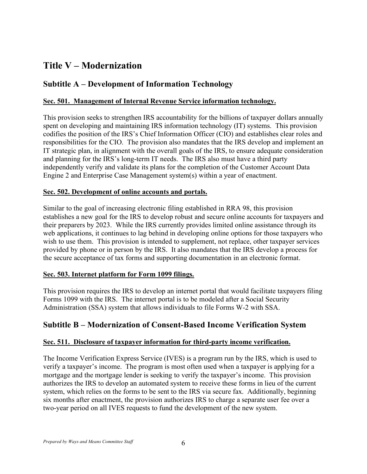# **Title V – Modernization**

## **Subtitle A – Development of Information Technology**

## **Sec. 501. Management of Internal Revenue Service information technology.**

This provision seeks to strengthen IRS accountability for the billions of taxpayer dollars annually spent on developing and maintaining IRS information technology (IT) systems. This provision codifies the position of the IRS's Chief Information Officer (CIO) and establishes clear roles and responsibilities for the CIO. The provision also mandates that the IRS develop and implement an IT strategic plan, in alignment with the overall goals of the IRS, to ensure adequate consideration and planning for the IRS's long-term IT needs. The IRS also must have a third party independently verify and validate its plans for the completion of the Customer Account Data Engine 2 and Enterprise Case Management system(s) within a year of enactment.

#### **Sec. 502. Development of online accounts and portals.**

Similar to the goal of increasing electronic filing established in RRA 98, this provision establishes a new goal for the IRS to develop robust and secure online accounts for taxpayers and their preparers by 2023. While the IRS currently provides limited online assistance through its web applications, it continues to lag behind in developing online options for those taxpayers who wish to use them. This provision is intended to supplement, not replace, other taxpayer services provided by phone or in person by the IRS. It also mandates that the IRS develop a process for the secure acceptance of tax forms and supporting documentation in an electronic format.

## **Sec. 503. Internet platform for Form 1099 filings.**

This provision requires the IRS to develop an internet portal that would facilitate taxpayers filing Forms 1099 with the IRS. The internet portal is to be modeled after a Social Security Administration (SSA) system that allows individuals to file Forms W-2 with SSA.

## **Subtitle B – Modernization of Consent-Based Income Verification System**

## **Sec. 511. Disclosure of taxpayer information for third-party income verification.**

The Income Verification Express Service (IVES) is a program run by the IRS, which is used to verify a taxpayer's income. The program is most often used when a taxpayer is applying for a mortgage and the mortgage lender is seeking to verify the taxpayer's income. This provision authorizes the IRS to develop an automated system to receive these forms in lieu of the current system, which relies on the forms to be sent to the IRS via secure fax. Additionally, beginning six months after enactment, the provision authorizes IRS to charge a separate user fee over a two-year period on all IVES requests to fund the development of the new system.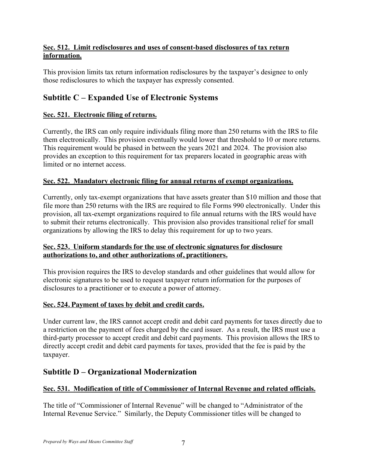## **Sec. 512. Limit redisclosures and uses of consent-based disclosures of tax return information.**

This provision limits tax return information redisclosures by the taxpayer's designee to only those redisclosures to which the taxpayer has expressly consented.

## **Subtitle C – Expanded Use of Electronic Systems**

## **Sec. 521. Electronic filing of returns.**

Currently, the IRS can only require individuals filing more than 250 returns with the IRS to file them electronically. This provision eventually would lower that threshold to 10 or more returns. This requirement would be phased in between the years 2021 and 2024. The provision also provides an exception to this requirement for tax preparers located in geographic areas with limited or no internet access.

## **Sec. 522. Mandatory electronic filing for annual returns of exempt organizations.**

Currently, only tax-exempt organizations that have assets greater than \$10 million and those that file more than 250 returns with the IRS are required to file Forms 990 electronically. Under this provision, all tax-exempt organizations required to file annual returns with the IRS would have to submit their returns electronically. This provision also provides transitional relief for small organizations by allowing the IRS to delay this requirement for up to two years.

## **Sec. 523. Uniform standards for the use of electronic signatures for disclosure authorizations to, and other authorizations of, practitioners.**

This provision requires the IRS to develop standards and other guidelines that would allow for electronic signatures to be used to request taxpayer return information for the purposes of disclosures to a practitioner or to execute a power of attorney.

## **Sec. 524. Payment of taxes by debit and credit cards.**

Under current law, the IRS cannot accept credit and debit card payments for taxes directly due to a restriction on the payment of fees charged by the card issuer. As a result, the IRS must use a third-party processor to accept credit and debit card payments. This provision allows the IRS to directly accept credit and debit card payments for taxes, provided that the fee is paid by the taxpayer.

## **Subtitle D – Organizational Modernization**

## **Sec. 531. Modification of title of Commissioner of Internal Revenue and related officials.**

The title of "Commissioner of Internal Revenue" will be changed to "Administrator of the Internal Revenue Service." Similarly, the Deputy Commissioner titles will be changed to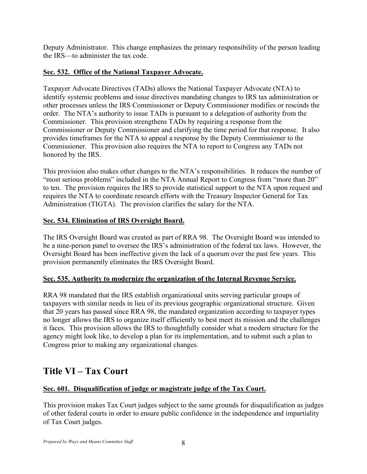Deputy Administrator. This change emphasizes the primary responsibility of the person leading the IRS—to administer the tax code.

## **Sec. 532. Office of the National Taxpayer Advocate.**

Taxpayer Advocate Directives (TADs) allows the National Taxpayer Advocate (NTA) to identify systemic problems and issue directives mandating changes to IRS tax administration or other processes unless the IRS Commissioner or Deputy Commissioner modifies or rescinds the order. The NTA's authority to issue TADs is pursuant to a delegation of authority from the Commissioner. This provision strengthens TADs by requiring a response from the Commissioner or Deputy Commissioner and clarifying the time period for that response. It also provides timeframes for the NTA to appeal a response by the Deputy Commissioner to the Commissioner. This provision also requires the NTA to report to Congress any TADs not honored by the IRS.

This provision also makes other changes to the NTA's responsibilities. It reduces the number of "most serious problems" included in the NTA Annual Report to Congress from "more than 20" to ten. The provision requires the IRS to provide statistical support to the NTA upon request and requires the NTA to coordinate research efforts with the Treasury Inspector General for Tax Administration (TIGTA). The provision clarifies the salary for the NTA.

## **Sec. 534. Elimination of IRS Oversight Board.**

The IRS Oversight Board was created as part of RRA 98. The Oversight Board was intended to be a nine-person panel to oversee the IRS's administration of the federal tax laws. However, the Oversight Board has been ineffective given the lack of a quorum over the past few years. This provision permanently eliminates the IRS Oversight Board.

## **Sec. 535. Authority to modernize the organization of the Internal Revenue Service.**

RRA 98 mandated that the IRS establish organizational units serving particular groups of taxpayers with similar needs in lieu of its previous geographic organizational structure. Given that 20 years has passed since RRA 98, the mandated organization according to taxpayer types no longer allows the IRS to organize itself efficiently to best meet its mission and the challenges it faces. This provision allows the IRS to thoughtfully consider what a modern structure for the agency might look like, to develop a plan for its implementation, and to submit such a plan to Congress prior to making any organizational changes.

# **Title VI – Tax Court**

## **Sec. 601. Disqualification of judge or magistrate judge of the Tax Court.**

This provision makes Tax Court judges subject to the same grounds for disqualification as judges of other federal courts in order to ensure public confidence in the independence and impartiality of Tax Court judges.